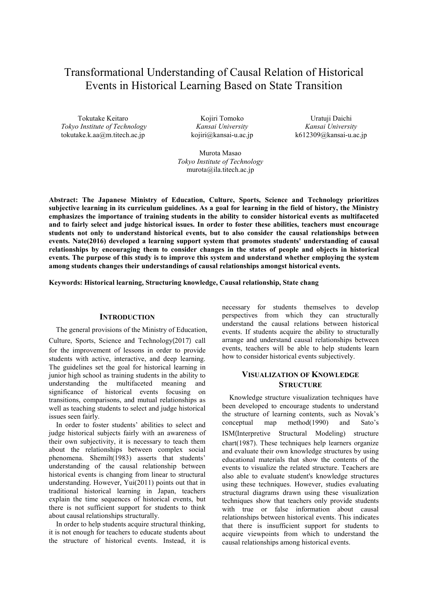# Transformational Understanding of Causal Relation of Historical Events in Historical Learning Based on State Transition

Tokutake Keitaro *Tokyo Institute of Technology* tokutake.k.aa@m.titech.ac.jp

Kojiri Tomoko *Kansai University* kojiri@kansai-u.ac.jp

Uratuji Daichi *Kansai University* k612309@kansai-u.ac.jp

Murota Masao *Tokyo Institute of Technology* murota@ila.titech.ac.ip

**Abstract: The Japanese Ministry of Education, Culture, Sports, Science and Technology prioritizes subjective learning in its curriculum guidelines. As a goal for learning in the field of history, the Ministry emphasizes the importance of training students in the ability to consider historical events as multifaceted and to fairly select and judge historical issues. In order to foster these abilities, teachers must encourage students not only to understand historical events, but to also consider the causal relationships between events. Nate(2016) developed a learning support system that promotes students' understanding of causal relationships by encouraging them to consider changes in the states of people and objects in historical events. The purpose of this study is to improve this system and understand whether employing the system among students changes their understandings of causal relationships amongst historical events.** 

**Keywords: Historical learning, Structuring knowledge, Causal relationship, State chang** 

#### **INTRODUCTION**

 The general provisions of the Ministry of Education, Culture, Sports, Science and Technology(2017) call for the improvement of lessons in order to provide students with active, interactive, and deep learning. The guidelines set the goal for historical learning in junior high school as training students in the ability to understanding the multifaceted meaning and significance of historical events focusing on transitions, comparisons, and mutual relationships as well as teaching students to select and judge historical issues seen fairly.

 In order to foster students' abilities to select and judge historical subjects fairly with an awareness of their own subjectivity, it is necessary to teach them about the relationships between complex social phenomena. Shemilt(1983) asserts that students' understanding of the causal relationship between historical events is changing from linear to structural understanding. However, Yui(2011) points out that in traditional historical learning in Japan, teachers explain the time sequences of historical events, but there is not sufficient support for students to think about causal relationships structurally.

 In order to help students acquire structural thinking, it is not enough for teachers to educate students about the structure of historical events. Instead, it is necessary for students themselves to develop perspectives from which they can structurally understand the causal relations between historical events. If students acquire the ability to structurally arrange and understand causal relationships between events, teachers will be able to help students learn how to consider historical events subjectively.

## **VISUALIZATION OF KNOWLEDGE STRUCTURE**

 Knowledge structure visualization techniques have been developed to encourage students to understand the structure of learning contents, such as Novak's<br>conceptual map method(1990) and Sato's map method $(1990)$ ISM(Interpretive Structural Modeling) structure chart(1987). These techniques help learners organize and evaluate their own knowledge structures by using educational materials that show the contents of the events to visualize the related structure. Teachers are also able to evaluate student's knowledge structures using these techniques. However, studies evaluating structural diagrams drawn using these visualization techniques show that teachers only provide students with true or false information about causal relationships between historical events. This indicates that there is insufficient support for students to acquire viewpoints from which to understand the causal relationships among historical events.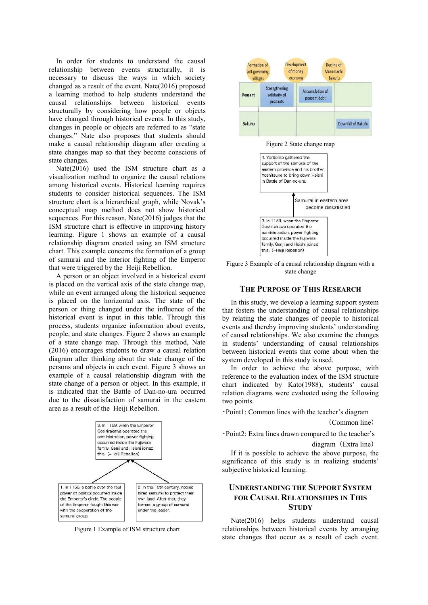In order for students to understand the causal relationship between events structurally, it is necessary to discuss the ways in which society changed as a result of the event. Nate(2016) proposed a learning method to help students understand the causal relationships between historical events structurally by considering how people or objects have changed through historical events. In this study, changes in people or objects are referred to as "state changes." Nate also proposes that students should make a causal relationship diagram after creating a state changes map so that they become conscious of state changes.

 Nate(2016) used the ISM structure chart as a visualization method to organize the causal relations among historical events. Historical learning requires students to consider historical sequences. The ISM structure chart is a hierarchical graph, while Novak's conceptual map method does not show historical sequences. For this reason, Nate(2016) judges that the ISM structure chart is effective in improving history learning. Figure 1 shows an example of a causal relationship diagram created using an ISM structure chart. This example concerns the formation of a group of samurai and the interior fighting of the Emperor that were triggered by the Heiji Rebellion.

 A person or an object involved in a historical event is placed on the vertical axis of the state change map, while an event arranged along the historical sequence is placed on the horizontal axis. The state of the person or thing changed under the influence of the historical event is input in this table. Through this process, students organize information about events, people, and state changes. Figure 2 shows an example of a state change map. Through this method, Nate (2016) encourages students to draw a causal relation diagram after thinking about the state change of the persons and objects in each event. Figure 3 shows an example of a causal relationship diagram with the state change of a person or object. In this example, it is indicated that the Battle of Dan-no-ura occurred due to the dissatisfaction of samurai in the eastern area as a result of the Heiji Rebellion.



Figure 1 Example of ISM structure chart



Figure 2 State change map



Figure 3 Example of a causal relationship diagram with a state change

## **THE PURPOSE OF THIS RESEARCH**

In this study, we develop a learning support system that fosters the understanding of causal relationships by relating the state changes of people to historical events and thereby improving students' understanding of causal relationships. We also examine the changes in students' understanding of causal relationships between historical events that come about when the system developed in this study is used.

In order to achieve the above purpose, with reference to the evaluation index of the ISM structure chart indicated by Kato(1988), students' causal relation diagrams were evaluated using the following two points.

・Point1: Common lines with the teacher's diagram

(Common line)

・Point2: Extra lines drawn compared to the teacher's

diagram(Extra line)

If it is possible to achieve the above purpose, the significance of this study is in realizing students' subjective historical learning.

# **UNDERSTANDING THE SUPPORT SYSTEM FOR CAUSAL RELATIONSHIPS IN THIS STUDY**

Nate(2016) helps students understand causal relationships between historical events by arranging state changes that occur as a result of each event.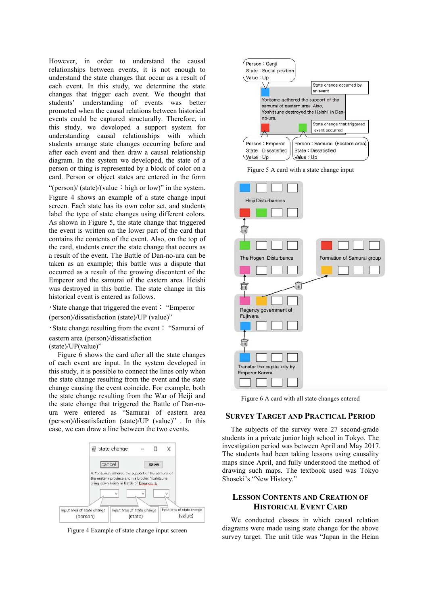However, in order to understand the causal relationships between events, it is not enough to understand the state changes that occur as a result of each event. In this study, we determine the state changes that trigger each event. We thought that students' understanding of events was better promoted when the causal relations between historical events could be captured structurally. Therefore, in this study, we developed a support system for understanding causal relationships with which students arrange state changes occurring before and after each event and then draw a causal relationship diagram. In the system we developed, the state of a person or thing is represented by a block of color on a card. Person or object states are entered in the form "(person)/ (state)/(value: high or low)" in the system.

Figure 4 shows an example of a state change input screen. Each state has its own color set, and students label the type of state changes using different colors. As shown in Figure 5, the state change that triggered the event is written on the lower part of the card that contains the contents of the event. Also, on the top of the card, students enter the state change that occurs as a result of the event. The Battle of Dan-no-ura can be taken as an example; this battle was a dispute that occurred as a result of the growing discontent of the Emperor and the samurai of the eastern area. Heishi was destroyed in this battle. The state change in this historical event is entered as follows.

・State change that triggered the event: "Emperor

(person)/dissatisfaction (state)/UP (value)"

・State change resulting from the event: "Samurai of eastern area (person)/dissatisfaction

(state)/UP(value)"

Figure 6 shows the card after all the state changes of each event are input. In the system developed in this study, it is possible to connect the lines only when the state change resulting from the event and the state change causing the event coincide. For example, both the state change resulting from the War of Heiji and the state change that triggered the Battle of Dan-noura were entered as "Samurai of eastern area (person)/dissatisfaction (state)/UP (value)" . In this case, we can draw a line between the two events.



Figure 4 Example of state change input screen



Figure 5 A card with a state change input



Figure 6 A card with all state changes entered

## **SURVEY TARGET AND PRACTICAL PERIOD**

The subjects of the survey were 27 second-grade students in a private junior high school in Tokyo. The investigation period was between April and May 2017. The students had been taking lessons using causality maps since April, and fully understood the method of drawing such maps. The textbook used was Tokyo Shoseki's "New History."

## **LESSON CONTENTS AND CREATION OF HISTORICAL EVENT CARD**

We conducted classes in which causal relation diagrams were made using state change for the above survey target. The unit title was "Japan in the Heian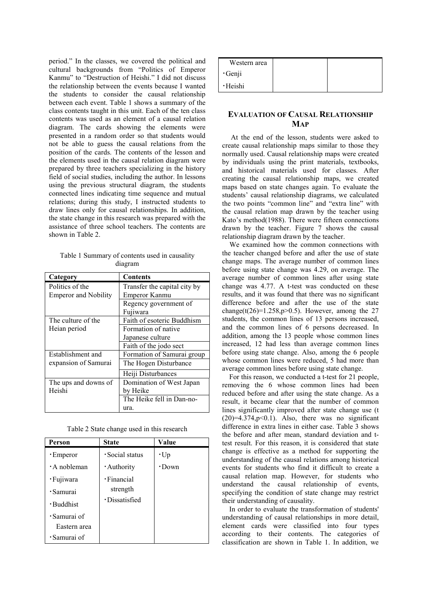period." In the classes, we covered the political and cultural backgrounds from "Politics of Emperor Kanmu" to "Destruction of Heishi." I did not discuss the relationship between the events because I wanted the students to consider the causal relationship between each event. Table 1 shows a summary of the class contents taught in this unit. Each of the ten class contents was used as an element of a causal relation diagram. The cards showing the elements were presented in a random order so that students would not be able to guess the causal relations from the position of the cards. The contents of the lesson and the elements used in the causal relation diagram were prepared by three teachers specializing in the history field of social studies, including the author. In lessons using the previous structural diagram, the students connected lines indicating time sequence and mutual relations; during this study, I instructed students to draw lines only for causal relationships. In addition, the state change in this research was prepared with the assistance of three school teachers. The contents are shown in Table 2.

Table 1 Summary of contents used in causality diagram

| Category                    | <b>Contents</b>              |
|-----------------------------|------------------------------|
| Politics of the             | Transfer the capital city by |
| <b>Emperor and Nobility</b> | Emperor Kanmu                |
|                             | Regency government of        |
|                             | Fujiwara                     |
| The culture of the          | Faith of esoteric Buddhism   |
| Heian period                | Formation of native          |
|                             | Japanese culture             |
|                             | Faith of the jodo sect       |
| Establishment and           | Formation of Samurai group   |
| expansion of Samurai        | The Hogen Disturbance        |
|                             | Heiji Disturbances           |
| The ups and downs of        | Domination of West Japan     |
| Heishi                      | by Heike                     |
|                             | The Heike fell in Dan-no-    |
|                             | ura.                         |

Table 2 State change used in this research

| Person             | <b>State</b>  | Value        |
|--------------------|---------------|--------------|
| • Emperor          | Social status | $\cdot$ Up   |
| $\cdot$ A nobleman | · Authority   | $\cdot$ Down |
| · Fujiwara         | · Financial   |              |
| · Samurai          | strength      |              |
| · Buddhist         | ·Dissatisfied |              |
| · Samurai of       |               |              |
| Eastern area       |               |              |
| $\cdot$ Samurai of |               |              |

| Western area |  |
|--------------|--|
| ·Genji       |  |
| ·Heishi      |  |

# **EVALUATION OF CAUSAL RELATIONSHIP MAP**

At the end of the lesson, students were asked to create causal relationship maps similar to those they normally used. Causal relationship maps were created by individuals using the print materials, textbooks, and historical materials used for classes. After creating the causal relationship maps, we created maps based on state changes again. To evaluate the students' causal relationship diagrams, we calculated the two points "common line" and "extra line" with the causal relation map drawn by the teacher using Kato's method(1988). There were fifteen connections drawn by the teacher. Figure 7 shows the causal relationship diagram drawn by the teacher.

We examined how the common connections with the teacher changed before and after the use of state change maps. The average number of common lines before using state change was 4.29, on average. The average number of common lines after using state change was 4.77. A t-test was conducted on these results, and it was found that there was no significant difference before and after the use of the state change(t(26)=1.258,p>0.5). However, among the 27 students, the common lines of 13 persons increased, and the common lines of 6 persons decreased. In addition, among the 13 people whose common lines increased, 12 had less than average common lines before using state change. Also, among the 6 people whose common lines were reduced, 5 had more than average common lines before using state change.

For this reason, we conducted a t-test for 21 people, removing the 6 whose common lines had been reduced before and after using the state change. As a result, it became clear that the number of common lines significantly improved after state change use (t  $(20)=4.374$ ,  $p<0.1$ ). Also, there was no significant difference in extra lines in either case. Table 3 shows the before and after mean, standard deviation and ttest result. For this reason, it is considered that state change is effective as a method for supporting the understanding of the causal relations among historical events for students who find it difficult to create a causal relation map. However, for students who understand the causal relationship of events, specifying the condition of state change may restrict their understanding of causality.

In order to evaluate the transformation of students' understanding of causal relationships in more detail, element cards were classified into four types according to their contents. The categories of classification are shown in Table 1. In addition, we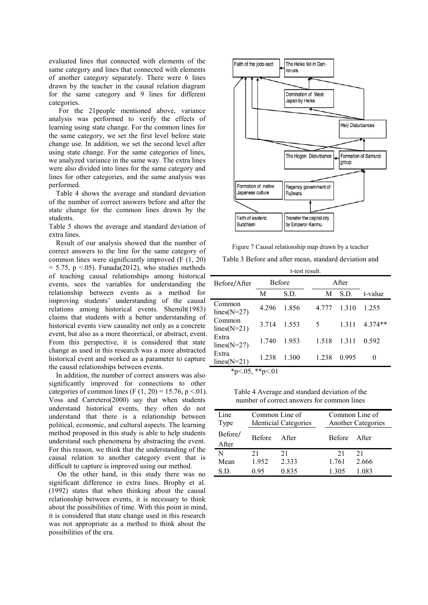evaluated lines that connected with elements of the same category and lines that connected with elements of another category separately. There were 6 lines drawn by the teacher in the causal relation diagram for the same category and 9 lines for different categories.

For the 21people mentioned above, variance analysis was performed to verify the effects of learning using state change. For the common lines for the same category, we set the first level before state change use. In addition, we set the second level after using state change. For the same categories of lines, we analyzed variance in the same way. The extra lines were also divided into lines for the same category and lines for other categories, and the same analysis was performed.

Table 4 shows the average and standard deviation of the number of correct answers before and after the state change for the common lines drawn by the students.

Table 5 shows the average and standard deviation of extra lines.

Result of our analysis showed that the number of correct answers to the line for the same category of common lines were significantly improved (F (1, 20)  $= 5.75$ , p  $\leq$ .05). Funada(2012), who studies methods of teaching causal relationships among historical events, sees the variables for understanding the relationship between events as a method for improving students' understanding of the causal relations among historical events. Shemilt(1983) claims that students with a better understanding of historical events view causality not only as a concrete event, but also as a more theoretical, or abstract, event. From this perspective, it is considered that state change as used in this research was a more abstracted historical event and worked as a parameter to capture the causal relationships between events.

In addition, the number of correct answers was also significantly improved for connections to other categories of common lines (F  $(1, 20) = 15.76$ , p <.01). Voss and Carretero(2000) say that when students understand historical events, they often do not understand that there is a relationship between political, economic, and cultural aspects. The learning method proposed in this study is able to help students understand such phenomena by abstracting the event. For this reason, we think that the understanding of the causal relation to another category event that is difficult to capture is improved using our method.

On the other hand, in this study there was no significant difference in extra lines. Brophy et al. (1992) states that when thinking about the causal relationship between events, it is necessary to think about the possibilities of time. With this point in mind, it is considered that state change used in this research was not appropriate as a method to think about the possibilities of the era.



Figure 7 Causal relationship map drawn by a teacher Table 3 Before and after mean, standard deviation and

| t-test result.           |               |       |       |       |           |
|--------------------------|---------------|-------|-------|-------|-----------|
| Before/After             | <b>Before</b> |       | After |       |           |
|                          | M             | S.D.  | M     | S.D.  | t-value   |
| Common<br>$lines(N=27)$  | 4.296         | 1.856 | 4.777 | 1.310 | 1.255     |
| Common<br>$lines(N=21)$  | 3.714         | 1.553 | 5.    | 1.311 | $4.374**$ |
| Extra<br>lines( $N=27$ ) | 1.740         | 1.953 | 1.518 | 1.311 | 0.592     |
| Extra<br>$lines(N=21)$   | 1.238         | 1.300 | 1.238 | 0.995 | $^{(1)}$  |
| *p<.05, **p<.01          |               |       |       |       |           |

Table 4 Average and standard deviation of the number of correct answers for common lines

| Line<br>Type     | Common Line of<br><b>Identicial Categories</b> |        | Common Line of<br><b>Another Categories</b> |       |
|------------------|------------------------------------------------|--------|---------------------------------------------|-------|
| Before/<br>After | <b>Refore</b>                                  | A fter | Before After                                |       |
| N                | 21                                             | 21     | 21                                          | 21    |
| Mean             | 1.952                                          | 2.333  | 1.761                                       | 2.666 |
| S.D.             | 0.95                                           | 0.835  | 1.305                                       | 1.083 |